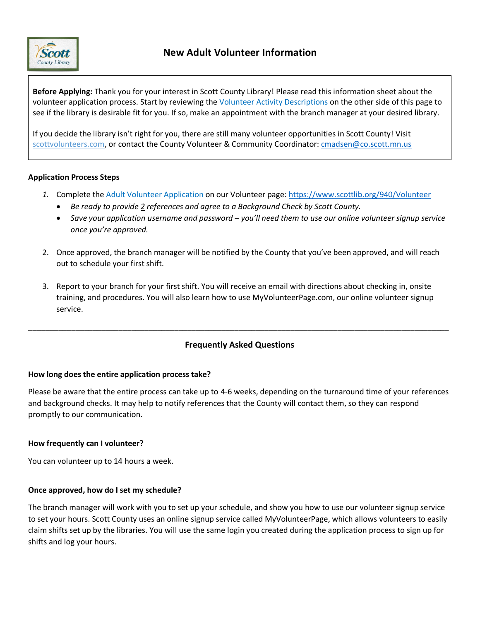

**Before Applying:** Thank you for your interest in Scott County Library! Please read this information sheet about the volunteer application process. Start by reviewing the Volunteer Activity Descriptions on the other side of this page to see if the library is desirable fit for you. If so, make an appointment with the branch manager at your desired library.

If you decide the library isn't right for you, there are still many volunteer opportunities in Scott County! Visit scottvolunteers.com, or contact the County Volunteer & Community Coordinator[: cmadsen@co.scott.mn.us](mailto:cmadsen@co.scott.mn.us)

#### **Application Process Steps**

- *1.* Complete the Adult Volunteer Application on our Volunteer page:<https://www.scottlib.org/940/Volunteer>
	- *Be ready to provide 2 references and agree to a Background Check by Scott County.*
	- *Save your application username and password – you'll need them to use our online volunteer signup service once you're approved.*
- 2. Once approved, the branch manager will be notified by the County that you've been approved, and will reach out to schedule your first shift.
- 3. Report to your branch for your first shift. You will receive an email with directions about checking in, onsite training, and procedures. You will also learn how to use MyVolunteerPage.com, our online volunteer signup service.

## **Frequently Asked Questions**

\_\_\_\_\_\_\_\_\_\_\_\_\_\_\_\_\_\_\_\_\_\_\_\_\_\_\_\_\_\_\_\_\_\_\_\_\_\_\_\_\_\_\_\_\_\_\_\_\_\_\_\_\_\_\_\_\_\_\_\_\_\_\_\_\_\_\_\_\_\_\_\_\_\_\_\_\_\_\_\_\_\_\_\_\_\_\_\_\_\_\_\_\_\_\_\_\_\_

### **How long does the entire application process take?**

Please be aware that the entire process can take up to 4-6 weeks, depending on the turnaround time of your references and background checks. It may help to notify references that the County will contact them, so they can respond promptly to our communication.

### **How frequently can I volunteer?**

You can volunteer up to 14 hours a week.

### **Once approved, how do I set my schedule?**

The branch manager will work with you to set up your schedule, and show you how to use our volunteer signup service to set your hours. Scott County uses an online signup service called MyVolunteerPage, which allows volunteers to easily claim shifts set up by the libraries. You will use the same login you created during the application process to sign up for shifts and log your hours.